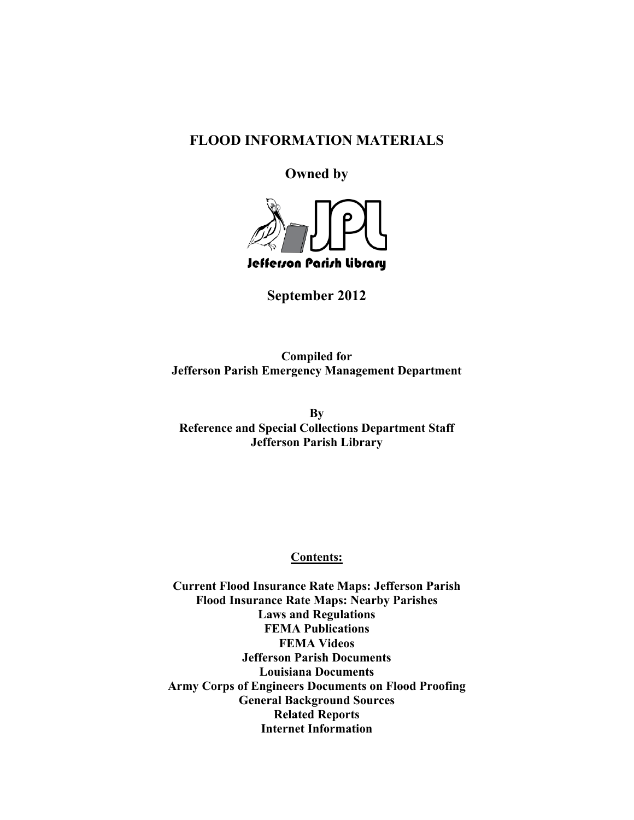# **FLOOD INFORMATION MATERIALS**

# **Owned by**



**September 2012** 

**Compiled for Jefferson Parish Emergency Management Department** 

**By Reference and Special Collections Department Staff Jefferson Parish Library** 

**Contents:** 

**Current Flood Insurance Rate Maps: Jefferson Parish Flood Insurance Rate Maps: Nearby Parishes Laws and Regulations FEMA Publications FEMA Videos Jefferson Parish Documents Louisiana Documents Army Corps of Engineers Documents on Flood Proofing General Background Sources Related Reports Internet Information**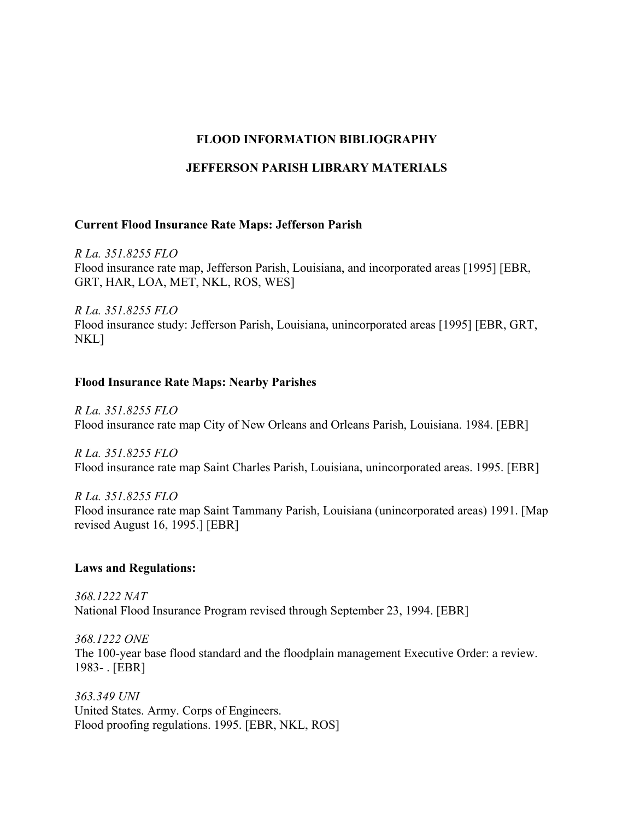# **FLOOD INFORMATION BIBLIOGRAPHY**

### **JEFFERSON PARISH LIBRARY MATERIALS**

#### **Current Flood Insurance Rate Maps: Jefferson Parish**

*R La. 351.8255 FLO*  Flood insurance rate map, Jefferson Parish, Louisiana, and incorporated areas [1995] [EBR, GRT, HAR, LOA, MET, NKL, ROS, WES]

*R La. 351.8255 FLO*  Flood insurance study: Jefferson Parish, Louisiana, unincorporated areas [1995] [EBR, GRT, NKL]

#### **Flood Insurance Rate Maps: Nearby Parishes**

*R La. 351.8255 FLO* Flood insurance rate map City of New Orleans and Orleans Parish, Louisiana. 1984. [EBR]

*R La. 351.8255 FLO* Flood insurance rate map Saint Charles Parish, Louisiana, unincorporated areas. 1995. [EBR]

*R La. 351.8255 FLO* Flood insurance rate map Saint Tammany Parish, Louisiana (unincorporated areas) 1991. [Map revised August 16, 1995.] [EBR]

#### **Laws and Regulations:**

*368.1222 NAT* National Flood Insurance Program revised through September 23, 1994. [EBR]

*368.1222 ONE* The 100-year base flood standard and the floodplain management Executive Order: a review. 1983- . [EBR]

*363.349 UNI* United States. Army. Corps of Engineers. Flood proofing regulations. 1995. [EBR, NKL, ROS]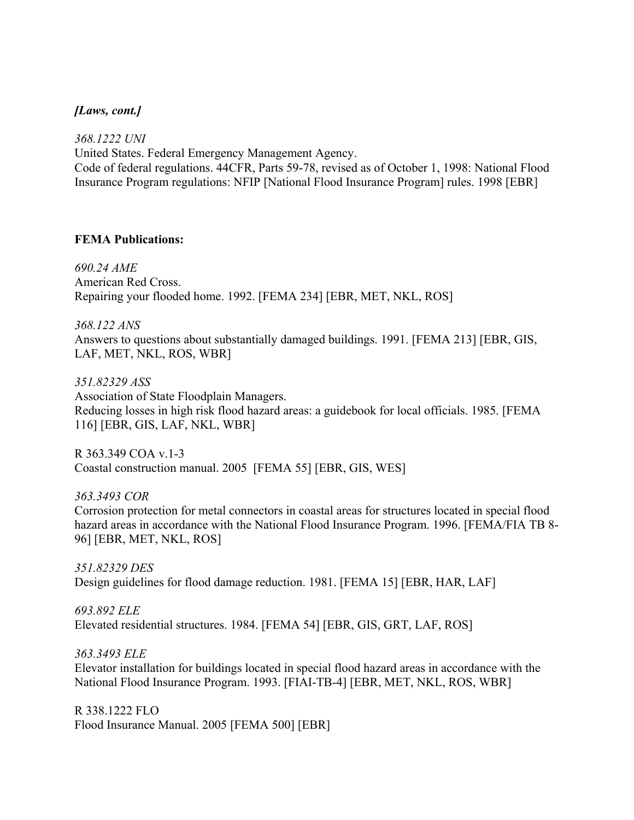### *[Laws, cont.]*

*368.1222 UNI* United States. Federal Emergency Management Agency. Code of federal regulations. 44CFR, Parts 59-78, revised as of October 1, 1998: National Flood Insurance Program regulations: NFIP [National Flood Insurance Program] rules. 1998 [EBR]

#### **FEMA Publications:**

*690.24 AME* American Red Cross. Repairing your flooded home. 1992. [FEMA 234] [EBR, MET, NKL, ROS]

*368.122 ANS* Answers to questions about substantially damaged buildings. 1991. [FEMA 213] [EBR, GIS, LAF, MET, NKL, ROS, WBR]

*351.82329 ASS* Association of State Floodplain Managers. Reducing losses in high risk flood hazard areas: a guidebook for local officials. 1985. [FEMA 116] [EBR, GIS, LAF, NKL, WBR]

R 363.349 COA v.1-3 Coastal construction manual. 2005 [FEMA 55] [EBR, GIS, WES]

*363.3493 COR* Corrosion protection for metal connectors in coastal areas for structures located in special flood hazard areas in accordance with the National Flood Insurance Program. 1996. [FEMA/FIA TB 8-96] [EBR, MET, NKL, ROS]

*351.82329 DES* Design guidelines for flood damage reduction. 1981. [FEMA 15] [EBR, HAR, LAF]

*693.892 ELE* Elevated residential structures. 1984. [FEMA 54] [EBR, GIS, GRT, LAF, ROS]

*363.3493 ELE* Elevator installation for buildings located in special flood hazard areas in accordance with the National Flood Insurance Program. 1993. [FIAI-TB-4] [EBR, MET, NKL, ROS, WBR]

R 338.1222 FLO Flood Insurance Manual. 2005 [FEMA 500] [EBR]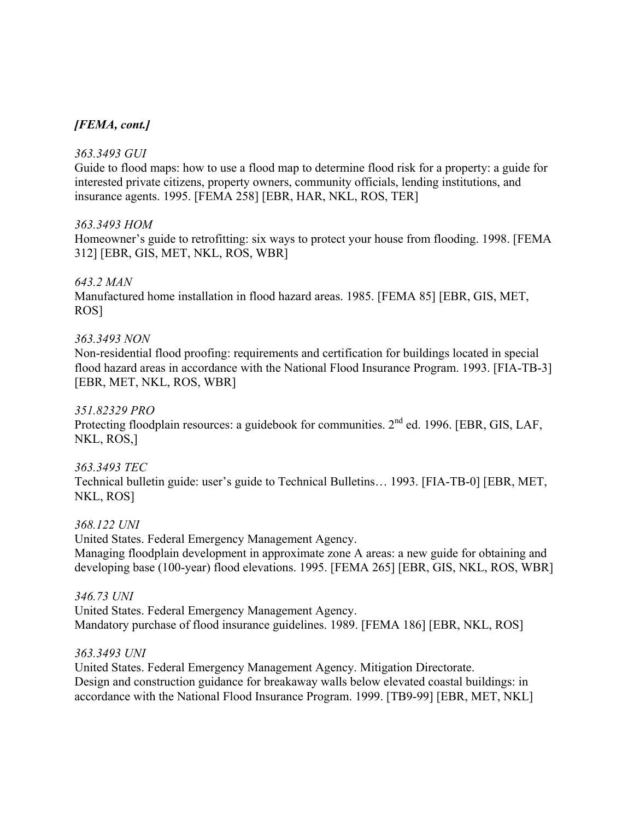### *[FEMA, cont.]*

### *363.3493 GUI*

Guide to flood maps: how to use a flood map to determine flood risk for a property: a guide for interested private citizens, property owners, community officials, lending institutions, and insurance agents. 1995. [FEMA 258] [EBR, HAR, NKL, ROS, TER]

### *363.3493 HOM*

Homeowner's guide to retrofitting: six ways to protect your house from flooding. 1998. [FEMA 312] [EBR, GIS, MET, NKL, ROS, WBR]

### *643.2 MAN*

Manufactured home installation in flood hazard areas. 1985. [FEMA 85] [EBR, GIS, MET, ROS]

### *363.3493 NON*

Non-residential flood proofing: requirements and certification for buildings located in special flood hazard areas in accordance with the National Flood Insurance Program. 1993. [FIA-TB-3] [EBR, MET, NKL, ROS, WBR]

### *351.82329 PRO*

Protecting floodplain resources: a guidebook for communities. 2<sup>nd</sup> ed. 1996. [EBR, GIS, LAF, NKL, ROS,]

### *363.3493 TEC*

Technical bulletin guide: user's guide to Technical Bulletins… 1993. [FIA-TB-0] [EBR, MET, NKL, ROS]

#### *368.122 UNI*

United States. Federal Emergency Management Agency. Managing floodplain development in approximate zone A areas: a new guide for obtaining and developing base (100-year) flood elevations. 1995. [FEMA 265] [EBR, GIS, NKL, ROS, WBR]

#### *346.73 UNI*

United States. Federal Emergency Management Agency. Mandatory purchase of flood insurance guidelines. 1989. [FEMA 186] [EBR, NKL, ROS]

#### *363.3493 UNI*

United States. Federal Emergency Management Agency. Mitigation Directorate. Design and construction guidance for breakaway walls below elevated coastal buildings: in accordance with the National Flood Insurance Program. 1999. [TB9-99] [EBR, MET, NKL]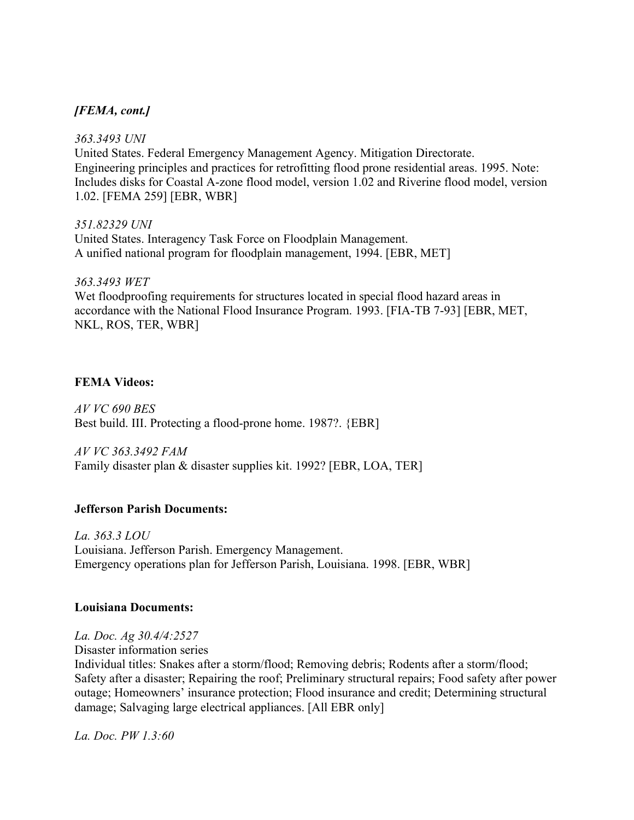# *[FEMA, cont.]*

### *363.3493 UNI*

United States. Federal Emergency Management Agency. Mitigation Directorate. Engineering principles and practices for retrofitting flood prone residential areas. 1995. Note: Includes disks for Coastal A-zone flood model, version 1.02 and Riverine flood model, version 1.02. [FEMA 259] [EBR, WBR]

### *351.82329 UNI*

United States. Interagency Task Force on Floodplain Management. A unified national program for floodplain management, 1994. [EBR, MET]

### *363.3493 WET*

Wet floodproofing requirements for structures located in special flood hazard areas in accordance with the National Flood Insurance Program. 1993. [FIA-TB 7-93] [EBR, MET, NKL, ROS, TER, WBR]

### **FEMA Videos:**

*AV VC 690 BES* Best build. III. Protecting a flood-prone home. 1987?. {EBR]

*AV VC 363.3492 FAM* Family disaster plan & disaster supplies kit. 1992? [EBR, LOA, TER]

### **Jefferson Parish Documents:**

*La. 363.3 LOU* Louisiana. Jefferson Parish. Emergency Management. Emergency operations plan for Jefferson Parish, Louisiana. 1998. [EBR, WBR]

#### **Louisiana Documents:**

### *La. Doc. Ag 30.4/4:2527*

Disaster information series

Individual titles: Snakes after a storm/flood; Removing debris; Rodents after a storm/flood; Safety after a disaster; Repairing the roof; Preliminary structural repairs; Food safety after power outage; Homeowners' insurance protection; Flood insurance and credit; Determining structural damage; Salvaging large electrical appliances. [All EBR only]

*La. Doc. PW 1.3:60*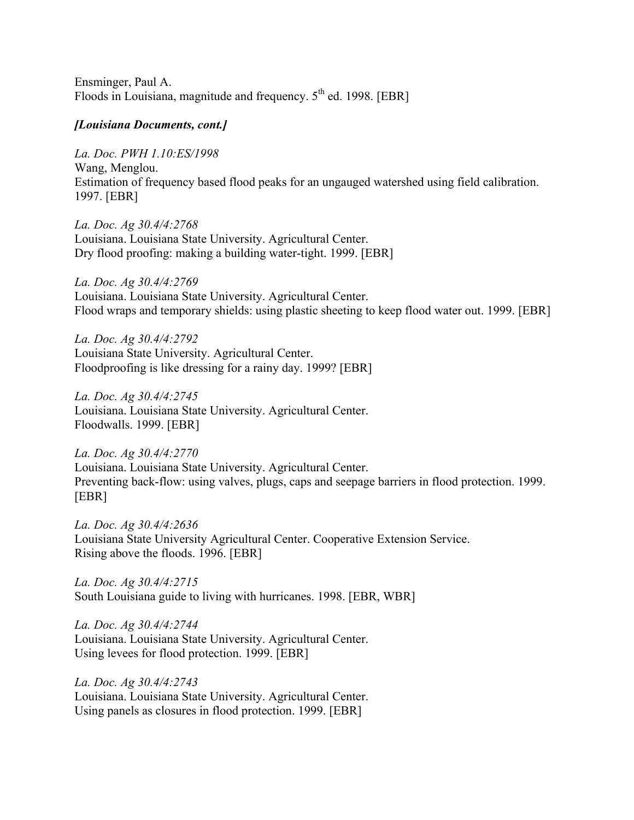Ensminger, Paul A. Floods in Louisiana, magnitude and frequency.  $5<sup>th</sup>$  ed. 1998. [EBR]

#### *[Louisiana Documents, cont.]*

*La. Doc. PWH 1.10:ES/1998* Wang, Menglou. Estimation of frequency based flood peaks for an ungauged watershed using field calibration. 1997. [EBR]

*La. Doc. Ag 30.4/4:2768* Louisiana. Louisiana State University. Agricultural Center. Dry flood proofing: making a building water-tight. 1999. [EBR]

*La. Doc. Ag 30.4/4:2769* Louisiana. Louisiana State University. Agricultural Center. Flood wraps and temporary shields: using plastic sheeting to keep flood water out. 1999. [EBR]

*La. Doc. Ag 30.4/4:2792* Louisiana State University. Agricultural Center. Floodproofing is like dressing for a rainy day. 1999? [EBR]

*La. Doc. Ag 30.4/4:2745* Louisiana. Louisiana State University. Agricultural Center. Floodwalls. 1999. [EBR]

*La. Doc. Ag 30.4/4:2770* Louisiana. Louisiana State University. Agricultural Center. Preventing back-flow: using valves, plugs, caps and seepage barriers in flood protection. 1999. [EBR]

*La. Doc. Ag 30.4/4:2636* Louisiana State University Agricultural Center. Cooperative Extension Service. Rising above the floods. 1996. [EBR]

*La. Doc. Ag 30.4/4:2715* South Louisiana guide to living with hurricanes. 1998. [EBR, WBR]

*La. Doc. Ag 30.4/4:2744* Louisiana. Louisiana State University. Agricultural Center. Using levees for flood protection. 1999. [EBR]

*La. Doc. Ag 30.4/4:2743* Louisiana. Louisiana State University. Agricultural Center. Using panels as closures in flood protection. 1999. [EBR]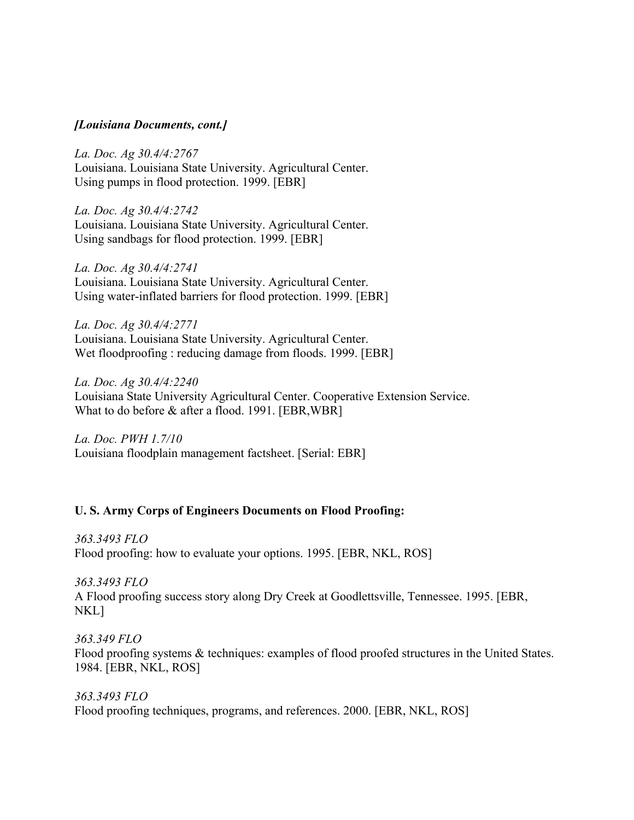### *[Louisiana Documents, cont.]*

*La. Doc. Ag 30.4/4:2767* Louisiana. Louisiana State University. Agricultural Center. Using pumps in flood protection. 1999. [EBR]

*La. Doc. Ag 30.4/4:2742* Louisiana. Louisiana State University. Agricultural Center. Using sandbags for flood protection. 1999. [EBR]

*La. Doc. Ag 30.4/4:2741* Louisiana. Louisiana State University. Agricultural Center. Using water-inflated barriers for flood protection. 1999. [EBR]

*La. Doc. Ag 30.4/4:2771* Louisiana. Louisiana State University. Agricultural Center. Wet floodproofing : reducing damage from floods. 1999. [EBR]

*La. Doc. Ag 30.4/4:2240* Louisiana State University Agricultural Center. Cooperative Extension Service. What to do before & after a flood. 1991. [EBR,WBR]

*La. Doc. PWH 1.7/10* Louisiana floodplain management factsheet. [Serial: EBR]

#### **U. S. Army Corps of Engineers Documents on Flood Proofing:**

*363.3493 FLO*  Flood proofing: how to evaluate your options. 1995. [EBR, NKL, ROS]

*363.3493 FLO* A Flood proofing success story along Dry Creek at Goodlettsville, Tennessee. 1995. [EBR, NKL]

*363.349 FLO* Flood proofing systems & techniques: examples of flood proofed structures in the United States. 1984. [EBR, NKL, ROS]

*363.3493 FLO* Flood proofing techniques, programs, and references. 2000. [EBR, NKL, ROS]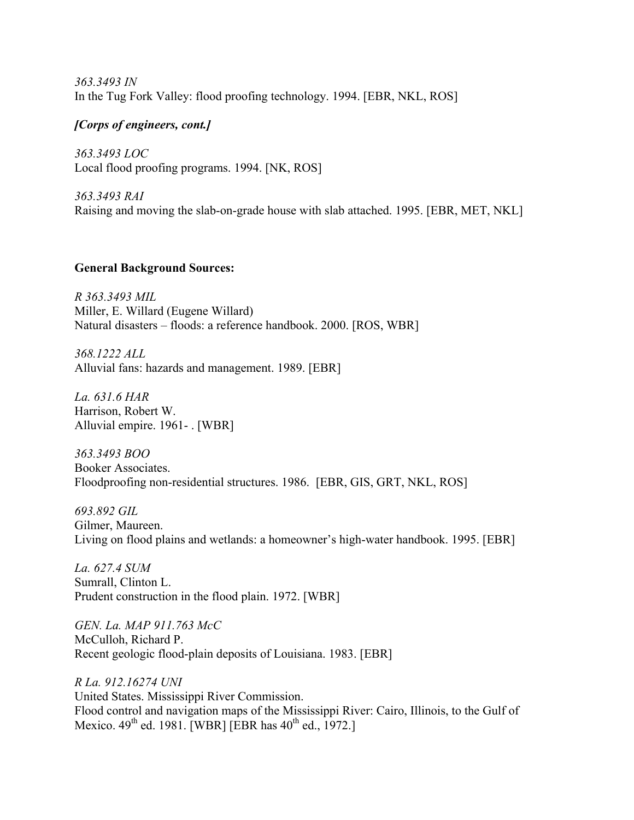*363.3493 IN* In the Tug Fork Valley: flood proofing technology. 1994. [EBR, NKL, ROS]

### *[Corps of engineers, cont.]*

*363.3493 LOC* Local flood proofing programs. 1994. [NK, ROS]

*363.3493 RAI* Raising and moving the slab-on-grade house with slab attached. 1995. [EBR, MET, NKL]

### **General Background Sources:**

*R 363.3493 MIL* Miller, E. Willard (Eugene Willard) Natural disasters – floods: a reference handbook. 2000. [ROS, WBR]

*368.1222 ALL* Alluvial fans: hazards and management. 1989. [EBR]

*La. 631.6 HAR* Harrison, Robert W. Alluvial empire. 1961- . [WBR]

*363.3493 BOO*  Booker Associates. Floodproofing non-residential structures. 1986. [EBR, GIS, GRT, NKL, ROS]

*693.892 GIL* Gilmer, Maureen. Living on flood plains and wetlands: a homeowner's high-water handbook. 1995. [EBR]

*La. 627.4 SUM* Sumrall, Clinton L. Prudent construction in the flood plain. 1972. [WBR]

*GEN. La. MAP 911.763 McC* McCulloh, Richard P. Recent geologic flood-plain deposits of Louisiana. 1983. [EBR]

*R La. 912.16274 UNI* United States. Mississippi River Commission. Flood control and navigation maps of the Mississippi River: Cairo, Illinois, to the Gulf of Mexico.  $49^{th}$  ed. 1981. [WBR] [EBR has  $40^{th}$  ed., 1972.]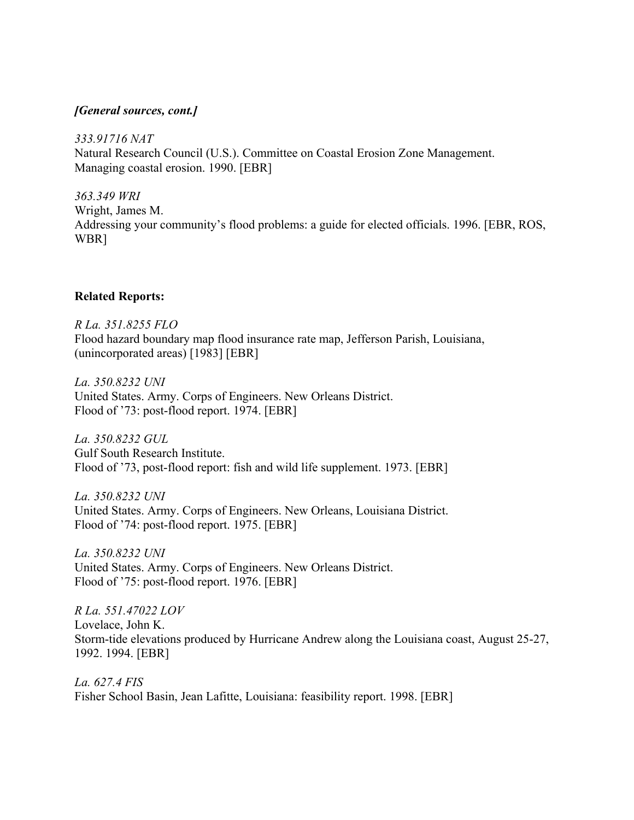### *[General sources, cont.]*

*333.91716 NAT* Natural Research Council (U.S.). Committee on Coastal Erosion Zone Management. Managing coastal erosion. 1990. [EBR]

*363.349 WRI* Wright, James M. Addressing your community's flood problems: a guide for elected officials. 1996. [EBR, ROS, WBR]

#### **Related Reports:**

*R La. 351.8255 FLO*  Flood hazard boundary map flood insurance rate map, Jefferson Parish, Louisiana, (unincorporated areas) [1983] [EBR]

*La. 350.8232 UNI* United States. Army. Corps of Engineers. New Orleans District. Flood of '73: post-flood report. 1974. [EBR]

*La. 350.8232 GUL* Gulf South Research Institute. Flood of '73, post-flood report: fish and wild life supplement. 1973. [EBR]

*La. 350.8232 UNI* United States. Army. Corps of Engineers. New Orleans, Louisiana District. Flood of '74: post-flood report. 1975. [EBR]

*La. 350.8232 UNI* United States. Army. Corps of Engineers. New Orleans District. Flood of '75: post-flood report. 1976. [EBR]

*R La. 551.47022 LOV* Lovelace, John K. Storm-tide elevations produced by Hurricane Andrew along the Louisiana coast, August 25-27, 1992. 1994. [EBR]

*La. 627.4 FIS* Fisher School Basin, Jean Lafitte, Louisiana: feasibility report. 1998. [EBR]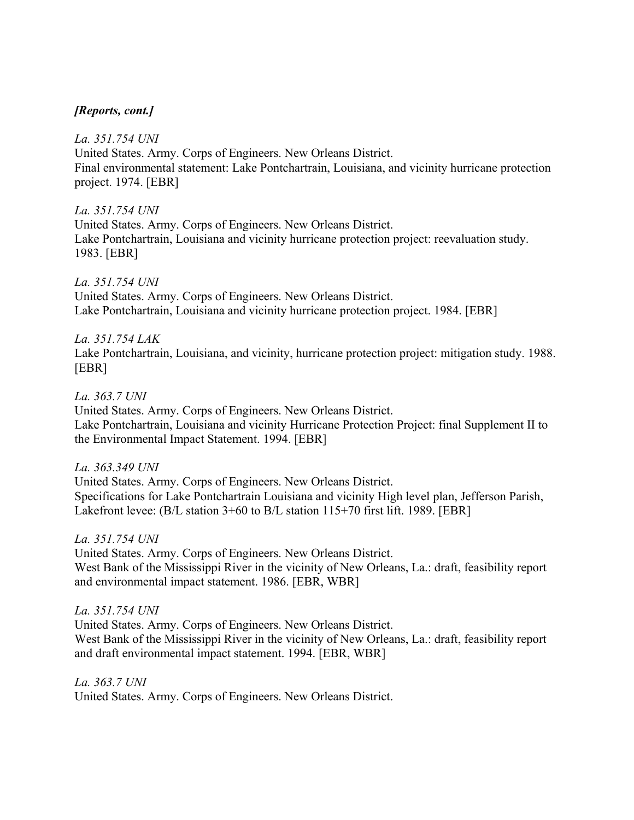### *[Reports, cont.]*

### *La. 351.754 UNI*

United States. Army. Corps of Engineers. New Orleans District. Final environmental statement: Lake Pontchartrain, Louisiana, and vicinity hurricane protection project. 1974. [EBR]

### *La. 351.754 UNI*

United States. Army. Corps of Engineers. New Orleans District. Lake Pontchartrain, Louisiana and vicinity hurricane protection project: reevaluation study. 1983. [EBR]

### *La. 351.754 UNI*

United States. Army. Corps of Engineers. New Orleans District. Lake Pontchartrain, Louisiana and vicinity hurricane protection project. 1984. [EBR]

# *La. 351.754 LAK*

Lake Pontchartrain, Louisiana, and vicinity, hurricane protection project: mitigation study. 1988. [EBR]

### *La. 363.7 UNI*

United States. Army. Corps of Engineers. New Orleans District. Lake Pontchartrain, Louisiana and vicinity Hurricane Protection Project: final Supplement II to the Environmental Impact Statement. 1994. [EBR]

### *La. 363.349 UNI*

United States. Army. Corps of Engineers. New Orleans District. Specifications for Lake Pontchartrain Louisiana and vicinity High level plan, Jefferson Parish, Lakefront levee: (B/L station 3+60 to B/L station 115+70 first lift. 1989. [EBR]

### *La. 351.754 UNI*

United States. Army. Corps of Engineers. New Orleans District. West Bank of the Mississippi River in the vicinity of New Orleans, La.: draft, feasibility report and environmental impact statement. 1986. [EBR, WBR]

### *La. 351.754 UNI*

United States. Army. Corps of Engineers. New Orleans District. West Bank of the Mississippi River in the vicinity of New Orleans, La.: draft, feasibility report and draft environmental impact statement. 1994. [EBR, WBR]

#### *La. 363.7 UNI*

United States. Army. Corps of Engineers. New Orleans District.